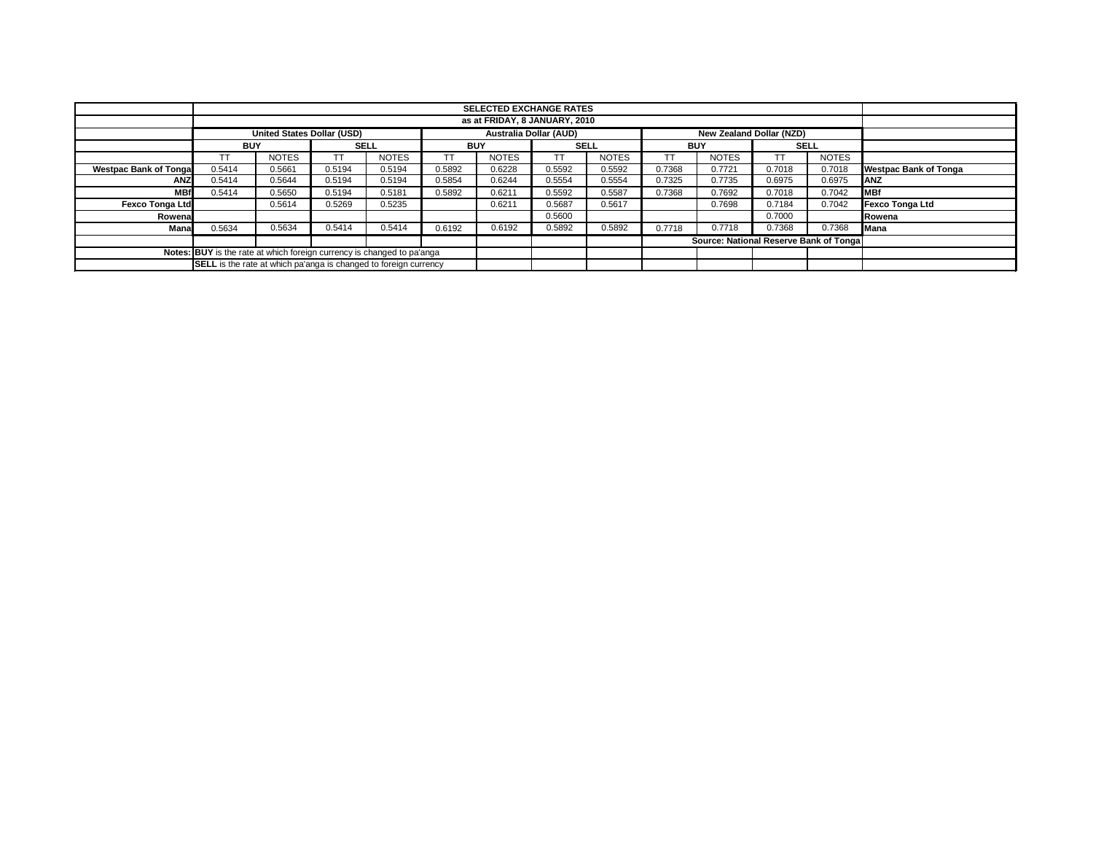|                                                                        |                                                                                         |              |                                                                         |              |             | <b>SELECTED EXCHANGE RATES</b> |            |              |                                        |              |        |              |                              |
|------------------------------------------------------------------------|-----------------------------------------------------------------------------------------|--------------|-------------------------------------------------------------------------|--------------|-------------|--------------------------------|------------|--------------|----------------------------------------|--------------|--------|--------------|------------------------------|
|                                                                        | as at FRIDAY, 8 JANUARY, 2010                                                           |              |                                                                         |              |             |                                |            |              |                                        |              |        |              |                              |
|                                                                        | <b>United States Dollar (USD)</b><br>New Zealand Dollar (NZD)<br>Australia Dollar (AUD) |              |                                                                         |              |             |                                |            |              |                                        |              |        |              |                              |
|                                                                        | <b>BUY</b>                                                                              | <b>SELL</b>  | <b>BUY</b>                                                              |              | <b>SELL</b> |                                | <b>BUY</b> |              | <b>SELL</b>                            |              |        |              |                              |
|                                                                        | TT                                                                                      | <b>NOTES</b> |                                                                         | <b>NOTES</b> | TΤ          | <b>NOTES</b>                   | TT         | <b>NOTES</b> | ТT                                     | <b>NOTES</b> |        | <b>NOTES</b> |                              |
| <b>Westpac Bank of Tongal</b>                                          | 0.5414                                                                                  | 0.5661       | 0.5194                                                                  | 0.5194       | 0.5892      | 0.6228                         | 0.5592     | 0.5592       | 0.7368                                 | 0.7721       | 0.7018 | 0.7018       | <b>Westpac Bank of Tonga</b> |
| <b>ANZ</b>                                                             | 0.5414                                                                                  | 0.5644       | 0.5194                                                                  | 0.5194       | 0.5854      | 0.6244                         | 0.5554     | 0.5554       | 0.7325                                 | 0.7735       | 0.6975 | 0.6975       | ANZ                          |
| <b>MBf</b>                                                             | 0.5414                                                                                  | 0.5650       | 0.5194                                                                  | 0.5181       | 0.5892      | 0.6211                         | 0.5592     | 0.5587       | 0.7368                                 | 0.7692       | 0.7018 | 0.7042       | <b>MBf</b>                   |
| <b>Fexco Tonga Ltd</b>                                                 | 0.5269<br>0.5235<br>0.5614                                                              |              |                                                                         |              |             | 0.6211                         | 0.5687     | 0.5617       |                                        | 0.7698       | 0.7184 | 0.7042       | Fexco Tonga Ltd              |
| Rowenal                                                                |                                                                                         |              |                                                                         |              |             |                                | 0.5600     |              |                                        |              | 0.7000 |              | Rowena                       |
| Mana                                                                   | 0.5634                                                                                  | 0.5634       | 0.5414                                                                  | 0.5414       | 0.6192      | 0.6192                         | 0.5892     | 0.5892       | 0.7718                                 | 0.7718       | 0.7368 | 0.7368       | Mana                         |
|                                                                        |                                                                                         |              |                                                                         |              |             |                                |            |              | Source: National Reserve Bank of Tonga |              |        |              |                              |
| Notes: BUY is the rate at which foreign currency is changed to pa'anga |                                                                                         |              |                                                                         |              |             |                                |            |              |                                        |              |        |              |                              |
|                                                                        |                                                                                         |              | <b>SELL</b> is the rate at which pa'anga is changed to foreign currency |              |             |                                |            |              |                                        |              |        |              |                              |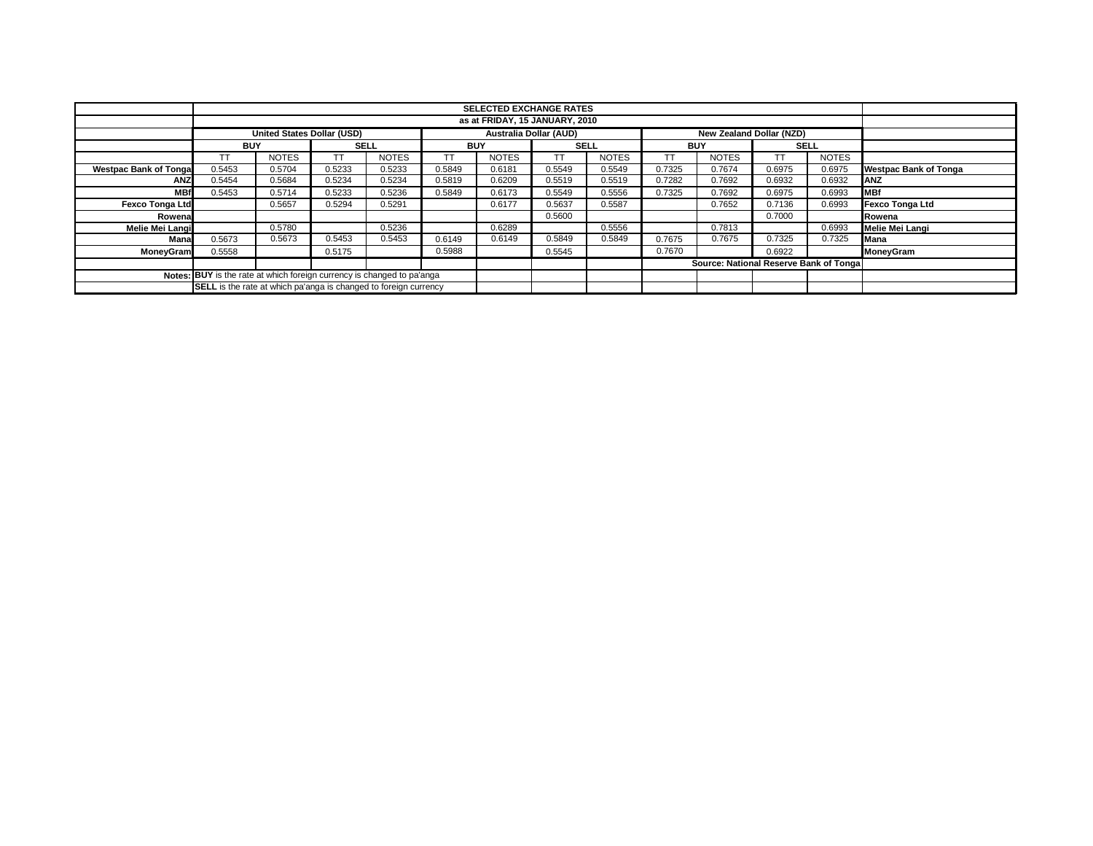|                                                                        |                                                                         | <b>SELECTED EXCHANGE RATES</b>    |        |              |           |                               |        |              |        |                                         |        |              |                              |
|------------------------------------------------------------------------|-------------------------------------------------------------------------|-----------------------------------|--------|--------------|-----------|-------------------------------|--------|--------------|--------|-----------------------------------------|--------|--------------|------------------------------|
|                                                                        | as at FRIDAY, 15 JANUARY, 2010                                          |                                   |        |              |           |                               |        |              |        |                                         |        |              |                              |
|                                                                        |                                                                         | <b>United States Dollar (USD)</b> |        |              |           | <b>Australia Dollar (AUD)</b> |        |              |        | <b>New Zealand Dollar (NZD)</b>         |        |              |                              |
|                                                                        | <b>BUY</b>                                                              |                                   |        | <b>SELL</b>  |           | <b>BUY</b>                    |        | <b>SELL</b>  |        | <b>BUY</b>                              |        | <b>SELL</b>  |                              |
|                                                                        | ТT                                                                      | <b>NOTES</b>                      | TT     | <b>NOTES</b> | <b>TT</b> | <b>NOTES</b>                  | ТT     | <b>NOTES</b> |        | <b>NOTES</b>                            |        | <b>NOTES</b> |                              |
| <b>Westpac Bank of Tonga</b>                                           | 0.5453                                                                  | 0.5704                            | 0.5233 | 0.5233       | 0.5849    | 0.6181                        | 0.5549 | 0.5549       | 0.7325 | 0.7674                                  | 0.6975 | 0.6975       | <b>Westpac Bank of Tonga</b> |
| <b>ANZ</b>                                                             | 0.5454                                                                  | 0.5684                            | 0.5234 | 0.5234       | 0.5819    | 0.6209                        | 0.5519 | 0.5519       | 0.7282 | 0.7692                                  | 0.6932 | 0.6932       | <b>ANZ</b>                   |
| <b>MBf</b>                                                             | 0.5453                                                                  | 0.5714                            | 0.5233 | 0.5236       | 0.5849    | 0.6173                        | 0.5549 | 0.5556       | 0.7325 | 0.7692                                  | 0.6975 | 0.6993       | <b>MBf</b>                   |
| <b>Fexco Tonga Ltd</b>                                                 |                                                                         | 0.5657                            | 0.5294 | 0.5291       |           | 0.6177                        | 0.5637 | 0.5587       |        | 0.7652                                  | 0.7136 | 0.6993       | Fexco Tonga Ltd              |
| Rowena                                                                 |                                                                         |                                   |        |              |           |                               | 0.5600 |              |        |                                         | 0.7000 |              | Rowena                       |
| Melie Mei Langi                                                        |                                                                         | 0.5780                            |        | 0.5236       |           | 0.6289                        |        | 0.5556       |        | 0.7813                                  |        | 0.6993       | Melie Mei Langi              |
| Mana                                                                   | 0.5673                                                                  | 0.5673                            | 0.5453 | 0.5453       | 0.6149    | 0.6149                        | 0.5849 | 0.5849       | 0.7675 | 0.7675                                  | 0.7325 | 0.7325       | Mana                         |
| <b>MoneyGram</b>                                                       | 0.5558                                                                  |                                   | 0.5175 |              | 0.5988    |                               | 0.5545 |              | 0.7670 |                                         | 0.6922 |              | MoneyGram                    |
|                                                                        |                                                                         |                                   |        |              |           |                               |        |              |        | Source: National Reserve Bank of Tongal |        |              |                              |
| Notes: BUY is the rate at which foreign currency is changed to pa'anga |                                                                         |                                   |        |              |           |                               |        |              |        |                                         |        |              |                              |
|                                                                        | <b>SELL</b> is the rate at which pa'anga is changed to foreign currency |                                   |        |              |           |                               |        |              |        |                                         |        |              |                              |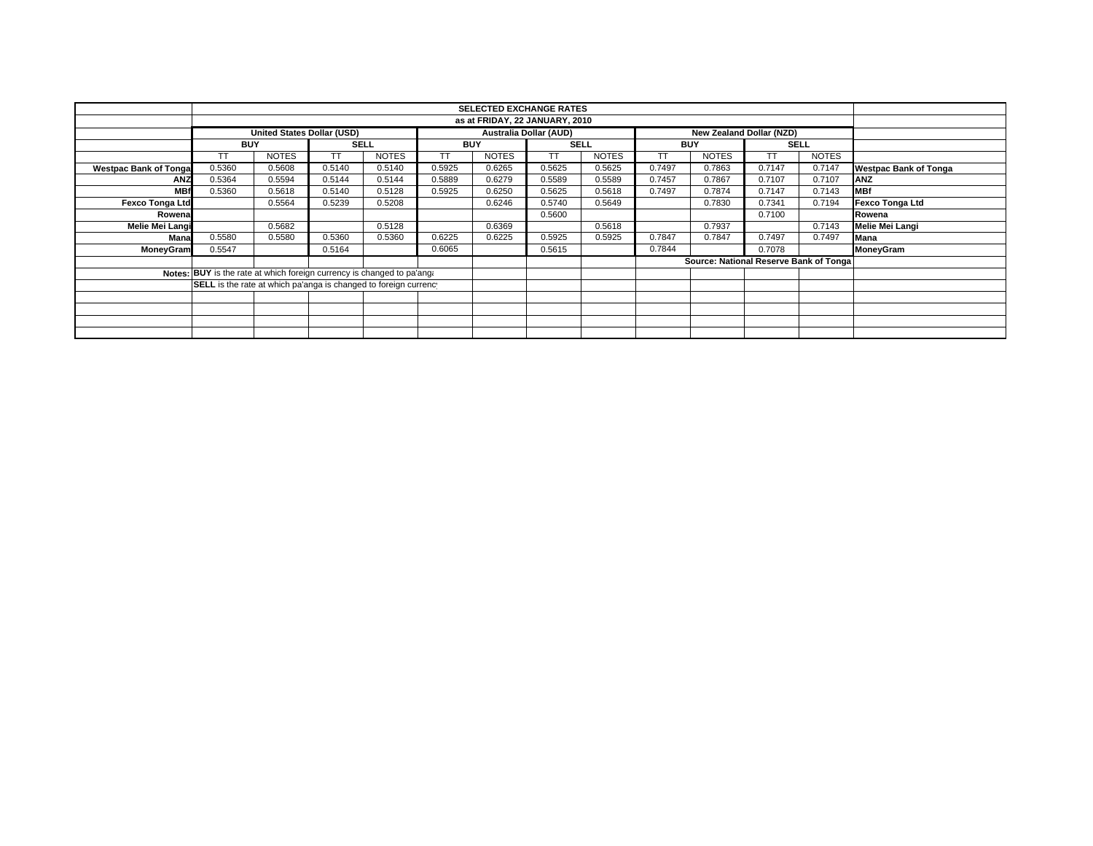|                                                                        |                                                                                                |              |             |              |            | <b>SELECTED EXCHANGE RATES</b> |             |              |            |                                        |        |              |                              |
|------------------------------------------------------------------------|------------------------------------------------------------------------------------------------|--------------|-------------|--------------|------------|--------------------------------|-------------|--------------|------------|----------------------------------------|--------|--------------|------------------------------|
|                                                                        |                                                                                                |              |             |              |            |                                |             |              |            |                                        |        |              |                              |
|                                                                        | <b>Australia Dollar (AUD)</b><br><b>United States Dollar (USD)</b><br>New Zealand Dollar (NZD) |              |             |              |            |                                |             |              |            |                                        |        |              |                              |
|                                                                        | <b>BUY</b>                                                                                     |              | <b>SELL</b> |              | <b>BUY</b> |                                | <b>SELL</b> |              | <b>BUY</b> |                                        |        | <b>SELL</b>  |                              |
|                                                                        | TT.                                                                                            | <b>NOTES</b> | TT          | <b>NOTES</b> | TТ         | <b>NOTES</b>                   | TT          | <b>NOTES</b> | TΤ         | <b>NOTES</b>                           | ТT     | <b>NOTES</b> |                              |
| <b>Westpac Bank of Tonga</b>                                           | 0.5360                                                                                         | 0.5608       | 0.5140      | 0.5140       | 0.5925     | 0.6265                         | 0.5625      | 0.5625       | 0.7497     | 0.7863                                 | 0.7147 | 0.7147       | <b>Westpac Bank of Tonga</b> |
| <b>ANZ</b>                                                             | 0.5364                                                                                         | 0.5594       | 0.5144      | 0.5144       | 0.5889     | 0.6279                         | 0.5589      | 0.5589       | 0.7457     | 0.7867                                 | 0.7107 | 0.7107       | <b>ANZ</b>                   |
| <b>MBf</b>                                                             | 0.5360                                                                                         | 0.5618       | 0.5140      | 0.5128       | 0.5925     | 0.6250                         | 0.5625      | 0.5618       | 0.7497     | 0.7874                                 | 0.7147 | 0.7143       | <b>MBf</b>                   |
| <b>Fexco Tonga Ltd</b>                                                 |                                                                                                | 0.5564       | 0.5239      | 0.5208       |            | 0.6246                         | 0.5740      | 0.5649       |            | 0.7830                                 | 0.7341 | 0.7194       | <b>Fexco Tonga Ltd</b>       |
| Rowena                                                                 |                                                                                                |              |             |              |            |                                | 0.5600      |              |            |                                        | 0.7100 |              | Rowena                       |
| <b>Melie Mei Langi</b>                                                 |                                                                                                | 0.5682       |             | 0.5128       |            | 0.6369                         |             | 0.5618       |            | 0.7937                                 |        | 0.7143       | Melie Mei Langi              |
| Mana                                                                   | 0.5580                                                                                         | 0.5580       | 0.5360      | 0.5360       | 0.6225     | 0.6225                         | 0.5925      | 0.5925       | 0.7847     | 0.7847                                 | 0.7497 | 0.7497       | Mana                         |
| MoneyGram                                                              | 0.5547                                                                                         |              | 0.5164      |              | 0.6065     |                                | 0.5615      |              | 0.7844     |                                        | 0.7078 |              | MoneyGram                    |
|                                                                        |                                                                                                |              |             |              |            |                                |             |              |            | Source: National Reserve Bank of Tonga |        |              |                              |
| Notes: BUY is the rate at which foreign currency is changed to pa'ang. |                                                                                                |              |             |              |            |                                |             |              |            |                                        |        |              |                              |
|                                                                        | <b>SELL</b> is the rate at which pa'anga is changed to foreign currenc                         |              |             |              |            |                                |             |              |            |                                        |        |              |                              |
|                                                                        |                                                                                                |              |             |              |            |                                |             |              |            |                                        |        |              |                              |
|                                                                        |                                                                                                |              |             |              |            |                                |             |              |            |                                        |        |              |                              |
|                                                                        |                                                                                                |              |             |              |            |                                |             |              |            |                                        |        |              |                              |
|                                                                        |                                                                                                |              |             |              |            |                                |             |              |            |                                        |        |              |                              |